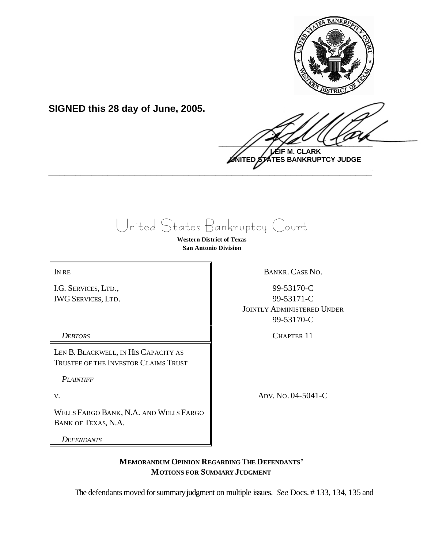

**SIGNED this 28 day of June, 2005.**

 $\frac{1}{2}$ **LEIF M. CLARK**

**UNITED STATES BANKRUPTCY JUDGE \_\_\_\_\_\_\_\_\_\_\_\_\_\_\_\_\_\_\_\_\_\_\_\_\_\_\_\_\_\_\_\_\_\_\_\_\_\_\_\_\_\_\_\_\_\_\_\_\_\_\_\_\_\_\_\_\_\_\_\_**

United States Bankruptcy Court

**Western District of Texas San Antonio Division**

I.G. SERVICES, LTD., IWG SERVICES, LTD.

LEN B. BLACKWELL, IN HIS CAPACITY AS TRUSTEE OF THE INVESTOR CLAIMS TRUST

*PLAINTIFF*

WELLS FARGO BANK, N.A. AND WELLS FARGO BANK OF TEXAS, N.A.

*DEFENDANTS*

IN RE BANKR. CASE NO.

99-53170-C 99-53171-C JOINTLY ADMINISTERED UNDER 99-53170-C

*DEBTORS* CHAPTER 11

V. ADV. No. 04-5041-C

**MEMORANDUM OPINION REGARDING THE DEFENDANTS' MOTIONS FOR SUMMARY JUDGMENT** 

The defendants moved for summary judgment on multiple issues. *See* Docs. #133, 134, 135 and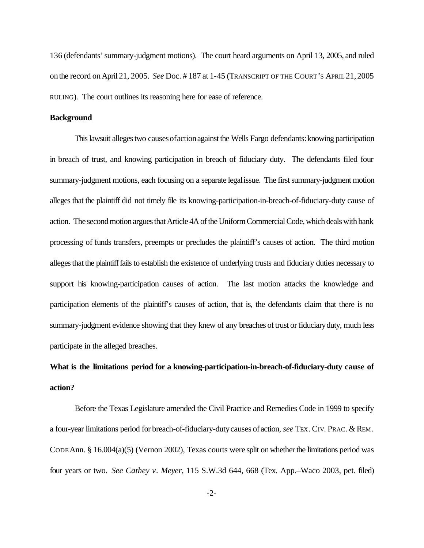136 (defendants'summary-judgment motions). The court heard arguments on April 13, 2005, and ruled onthe record onApril 21, 2005. *See* Doc. # 187 at 1-45 (TRANSCRIPT OF THE COURT'S APRIL 21,2005 RULING). The court outlines its reasoning here for ease of reference.

#### **Background**

This lawsuit alleges two causes of action against the Wells Fargo defendants: knowing participation in breach of trust, and knowing participation in breach of fiduciary duty. The defendants filed four summary-judgment motions, each focusing on a separate legalissue. The first summary-judgment motion alleges that the plaintiff did not timely file its knowing-participation-in-breach-of-fiduciary-duty cause of action. The second motion argues that Article 4A of the Uniform Commercial Code, which deals with bank processing of funds transfers, preempts or precludes the plaintiff's causes of action. The third motion alleges that the plaintiff fails to establish the existence of underlying trusts and fiduciary duties necessary to support his knowing-participation causes of action. The last motion attacks the knowledge and participation elements of the plaintiff's causes of action, that is, the defendants claim that there is no summary-judgment evidence showing that they knew of any breaches of trust or fiduciary duty, much less participate in the alleged breaches.

# **What is the limitations period for a knowing-participation-in-breach-of-fiduciary-duty cause of action?**

Before the Texas Legislature amended the Civil Practice and Remedies Code in 1999 to specify a four-year limitations period for breach-of-fiduciary-dutycauses of action, *see* TEX. CIV. PRAC. & REM. CODE Ann. §  $16.004(a)(5)$  (Vernon 2002), Texas courts were split on whether the limitations period was four years or two. *See Cathey v. Meyer*, 115 S.W.3d 644, 668 (Tex. App.–Waco 2003, pet. filed)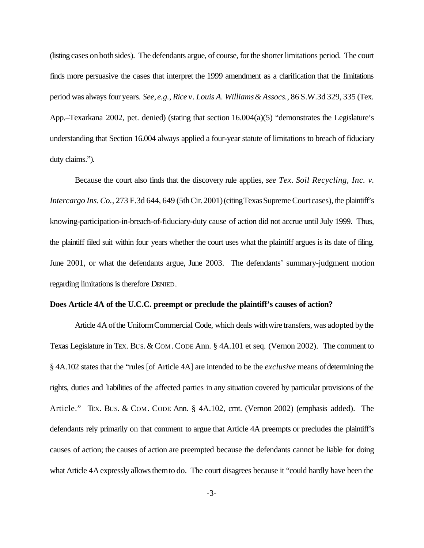(listing cases onbothsides). The defendants argue, of course, for the shorter limitations period. The court finds more persuasive the cases that interpret the 1999 amendment as a clarification that the limitations period was always four years. *See*, *e.g.*, *Rice v. Louis A. Williams& Assocs.*, 86 S.W.3d 329, 335 (Tex. App.–Texarkana 2002, pet. denied) (stating that section 16.004(a)(5) "demonstrates the Legislature's understanding that Section 16.004 always applied a four-year statute of limitations to breach of fiduciary duty claims.").

Because the court also finds that the discovery rule applies, *see Tex. Soil Recycling, Inc. v. Intercargo Ins. Co.*, 273 F.3d 644, 649 (5th Cir. 2001) (citing Texas Supreme Court cases), the plaintiff's knowing-participation-in-breach-of-fiduciary-duty cause of action did not accrue until July 1999. Thus, the plaintiff filed suit within four years whether the court uses what the plaintiff argues is its date of filing, June 2001, or what the defendants argue, June 2003. The defendants' summary-judgment motion regarding limitations is therefore DENIED.

### **Does Article 4A of the U.C.C. preempt or preclude the plaintiff's causes of action?**

Article 4Aofthe UniformCommercial Code, which deals withwire transfers, was adopted bythe Texas Legislature in Tex. Bus. & COM. CODE Ann. § 4A.101 et seq. (Vernon 2002). The comment to § 4A.102 states that the "rules [of Article 4A] are intended to be the *exclusive* means ofdetermining the rights, duties and liabilities of the affected parties in any situation covered by particular provisions of the Article." TEX. BUS. & COM. CODE Ann. § 4A.102, cmt. (Vernon 2002) (emphasis added). The defendants rely primarily on that comment to argue that Article 4A preempts or precludes the plaintiff's causes of action; the causes of action are preempted because the defendants cannot be liable for doing what Article 4A expressly allows them to do. The court disagrees because it "could hardly have been the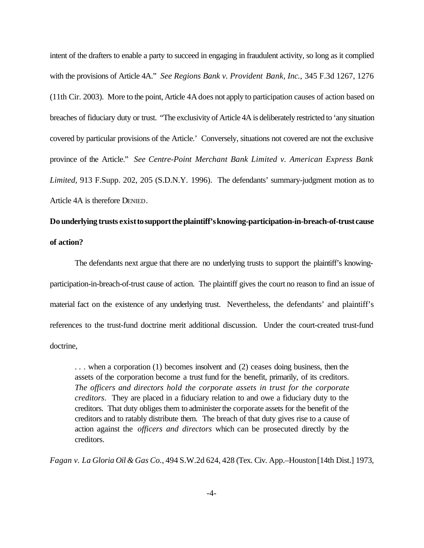intent of the drafters to enable a party to succeed in engaging in fraudulent activity, so long as it complied with the provisions of Article 4A." *See Regions Bank v. Provident Bank, Inc.*, 345 F.3d 1267, 1276 (11th Cir. 2003). More to the point, Article 4Adoes not apply to participation causes of action based on breaches of fiduciary duty or trust. "The exclusivity of Article 4A is deliberately restricted to 'any situation covered by particular provisions of the Article.' Conversely, situations not covered are not the exclusive province of the Article." *See Centre-Point Merchant Bank Limited v. American Express Bank Limited*, 913 F.Supp. 202, 205 (S.D.N.Y. 1996). The defendants' summary-judgment motion as to Article 4A is therefore DENIED.

### **Dounderlying trusts existto support the plaintiff's knowing-participation-in-breach-of-trust cause of action?**

The defendants next argue that there are no underlying trusts to support the plaintiff's knowingparticipation-in-breach-of-trust cause of action. The plaintiff gives the court no reason to find an issue of material fact on the existence of any underlying trust. Nevertheless, the defendants' and plaintiff's references to the trust-fund doctrine merit additional discussion. Under the court-created trust-fund doctrine,

. . . when a corporation (1) becomes insolvent and (2) ceases doing business, then the assets of the corporation become a trust fund for the benefit, primarily, of its creditors. *The officers and directors hold the corporate assets in trust for the corporate creditors*. They are placed in a fiduciary relation to and owe a fiduciary duty to the creditors. That duty obliges them to administerthe corporate assets for the benefit of the creditors and to ratably distribute them. The breach of that duty gives rise to a cause of action against the *officers and directors* which can be prosecuted directly by the creditors.

*Fagan v. La Gloria Oil & Gas Co.*, 494 S.W.2d 624, 428 (Tex. Civ. App.–Houston[14th Dist.] 1973,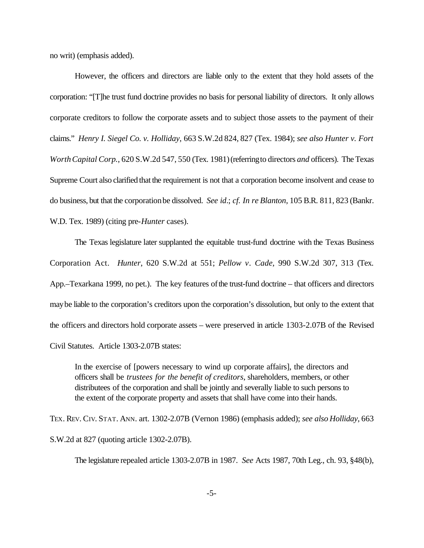no writ) (emphasis added).

However, the officers and directors are liable only to the extent that they hold assets of the corporation: "[T]he trust fund doctrine provides no basis for personal liability of directors. It only allows corporate creditors to follow the corporate assets and to subject those assets to the payment of their claims." *Henry I. Siegel Co. v. Holliday*, 663 S.W.2d 824, 827 (Tex. 1984); *see also Hunter v. Fort WorthCapital Corp.*, 620 S.W.2d 547, 550 (Tex. 1981)(referringto directors *and* officers). The Texas Supreme Court also clarified that the requirement is not that a corporation become insolvent and cease to do business, but that the corporationbe dissolved. *See id*.; *cf. In re Blanton*, 105 B.R. 811, 823 (Bankr. W.D. Tex. 1989) (citing pre-*Hunter* cases).

The Texas legislature later supplanted the equitable trust-fund doctrine with the Texas Business Corporation Act. *Hunter*, 620 S.W.2d at 551; *Pellow v. Cade*, 990 S.W.2d 307, 313 (Tex. App.–Texarkana 1999, no pet.). The key features of the trust-fund doctrine – that officers and directors maybe liable to the corporation's creditors upon the corporation's dissolution, but only to the extent that the officers and directors hold corporate assets – were preserved in article 1303-2.07B of the Revised Civil Statutes. Article 1303-2.07B states:

In the exercise of [powers necessary to wind up corporate affairs], the directors and officers shall be *trustees for the benefit of creditors*, shareholders, members, or other distributees of the corporation and shall be jointly and severally liable to such persons to the extent of the corporate property and assets that shall have come into their hands.

TEX. REV. CIV. STAT. ANN. art. 1302-2.07B (Vernon 1986) (emphasis added); *see also Holliday*, 663 S.W.2d at 827 (quoting article 1302-2.07B).

The legislature repealed article 1303-2.07B in 1987. *See* Acts 1987, 70th Leg., ch. 93, §48(b),

-5-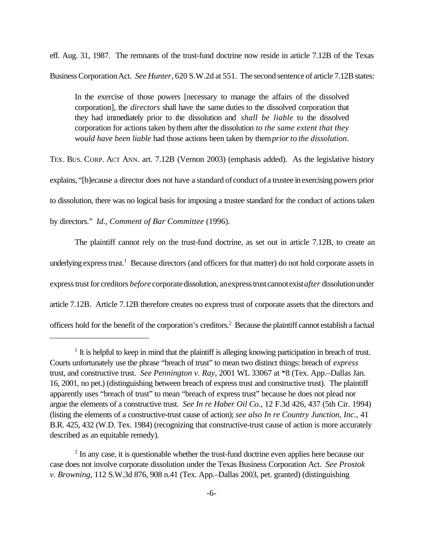eff. Aug. 31, 1987. The remnants of the trust-fund doctrine now reside in article 7.12B of the Texas BusinessCorporationAct. *See Hunter*, 620 S.W.2d at 551. The second sentence of article 7.12B states:

In the exercise of those powers [necessary to manage the affairs of the dissolved corporation], the *directors* shall have the same duties to the dissolved corporation that they had immediately prior to the dissolution and *shall be liable* to the dissolved corporation for actions taken bythem after the dissolution *to the same extent that they would have been liable* had those actions been taken by them*priorto the dissolution*.

TEX. BUS. CORP. ACT ANN. art. 7.12B (Vernon 2003) (emphasis added). As the legislative history explains, "[b]ecause a director does not have a standard of conduct of a trustee inexercising powers prior to dissolution, there was no logical basis for imposing a trustee standard for the conduct of actions taken by directors." *Id*., *Comment of Bar Committee* (1996).

The plaintiff cannot rely on the trust-fund doctrine, as set out in article 7.12B, to create an underlying express trust.<sup>1</sup> Because directors (and officers for that matter) do not hold corporate assets in express trust for creditors *before* corporate dissolution, anexpress trust cannot exist *after* dissolution under article 7.12B. Article 7.12B therefore creates no express trust of corporate assets that the directors and officers hold for the benefit of the corporation's creditors.<sup>2</sup> Because the plaintiff cannot establish a factual

<sup>&</sup>lt;sup>1</sup> It is helpful to keep in mind that the plaintiff is alleging knowing participation in breach of trust. Courts unfortunately use the phrase "breach of trust" to mean two distinct things: breach of *express* trust, and constructive trust. *See Pennington v. Ray*, 2001 WL 33067 at \*8 (Tex. App.–Dallas Jan. 16, 2001, no pet.) (distinguishing between breach of express trust and constructive trust). The plaintiff apparently uses "breach of trust" to mean "breach of express trust" because he does not plead nor argue the elements of a constructive trust. *See In re Haber Oil Co.*, 12 F.3d 426, 437 (5th Cir. 1994) (listing the elements of a constructive-trust cause of action); *see also In re Country Junction, Inc.*, 41 B.R. 425, 432 (W.D. Tex. 1984) (recognizing that constructive-trust cause of action is more accurately described as an equitable remedy).

<sup>&</sup>lt;sup>2</sup> In any case, it is questionable whether the trust-fund doctrine even applies here because our case does not involve corporate dissolution under the Texas Business Corporation Act. *See Prostok v. Browning*, 112 S.W.3d 876, 908 n.41 (Tex. App.–Dallas 2003, pet. granted) (distinguishing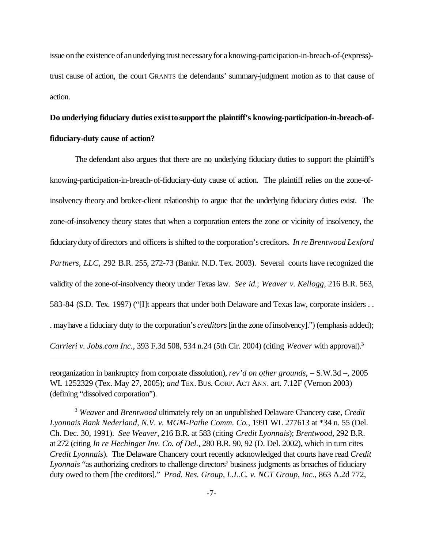issue on the existence of an underlying trust necessary for a knowing-participation-in-breach-of-(express)trust cause of action, the court GRANTS the defendants' summary-judgment motion as to that cause of action.

# Do underlying fiduciary duties exist to support the plaintiff's knowing-participation-in-breach-of**fiduciary-duty cause of action?**

The defendant also argues that there are no underlying fiduciary duties to support the plaintiff's knowing-participation-in-breach-of-fiduciary-duty cause of action. The plaintiff relies on the zone-ofinsolvency theory and broker-client relationship to argue that the underlying fiduciary duties exist. The zone-of-insolvency theory states that when a corporation enters the zone or vicinity of insolvency, the fiduciarydutyofdirectors and officers is shifted to the corporation's creditors. *In re Brentwood Lexford Partners, LLC*, 292 B.R. 255, 272-73 (Bankr. N.D. Tex. 2003). Several courts have recognized the validity of the zone-of-insolvency theory under Texas law. *See id*.; *Weaver v. Kellogg*, 216 B.R. 563, 583-84 (S.D. Tex. 1997) ("[I]t appears that under both Delaware and Texas law, corporate insiders . . . mayhave a fiduciary duty to the corporation's *creditors*[in the zone ofinsolvency].") (emphasis added); *Carrieri v. Jobs.com Inc.*, 393 F.3d 508, 534 n.24 (5th Cir. 2004) (citing *Weaver* with approval).3

reorganization in bankruptcy from corporate dissolution), *rev'd on other grounds*, – S.W.3d –, 2005 WL 1252329 (Tex. May 27, 2005); *and* TEX. BUS. CORP. ACT ANN. art. 7.12F (Vernon 2003) (defining "dissolved corporation").

<sup>3</sup> *Weaver* and *Brentwood* ultimately rely on an unpublished Delaware Chancery case, *Credit Lyonnais Bank Nederland, N.V. v. MGM-Pathe Comm. Co.*, 1991 WL 277613 at \*34 n. 55 (Del. Ch. Dec. 30, 1991). *See Weaver*, 216 B.R. at 583 (citing *Credit Lyonnais*); *Brentwood*, 292 B.R. at 272 (citing *In re Hechinger Inv. Co. of Del.*, 280 B.R. 90, 92 (D. Del. 2002), which in turn cites *Credit Lyonnais*). The Delaware Chancery court recently acknowledged that courts have read *Credit Lyonnais* "as authorizing creditors to challenge directors' business judgments as breaches of fiduciary duty owed to them [the creditors]." *Prod. Res. Group, L.L.C. v. NCT Group, Inc.*, 863 A.2d 772,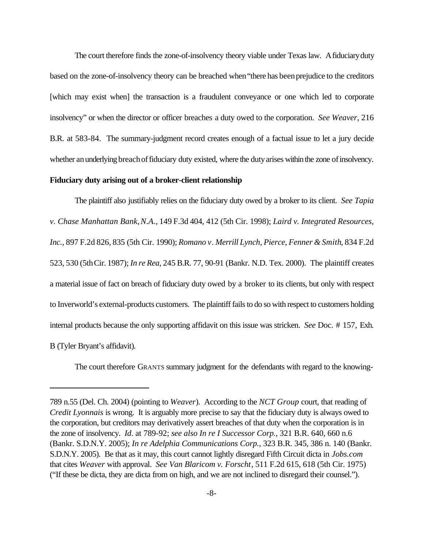The court therefore finds the zone-of-insolvency theory viable under Texas law. Afiduciaryduty based on the zone-of-insolvency theory can be breached when"there has beenprejudice to the creditors [which may exist when] the transaction is a fraudulent conveyance or one which led to corporate insolvency" or when the director or officer breaches a duty owed to the corporation. *See Weaver*, 216 B.R. at 583-84. The summary-judgment record creates enough of a factual issue to let a jury decide whether an underlying breach of fiduciary duty existed, where the duty arises within the zone of insolvency.

### **Fiduciary duty arising out of a broker-client relationship**

The plaintiff also justifiably relies on the fiduciary duty owed by a broker to its client. *See Tapia v. Chase Manhattan Bank,N.A.*, 149 F.3d 404, 412 (5th Cir. 1998); *Laird v. Integrated Resources, Inc.*, 897 F.2d 826, 835 (5th Cir. 1990); *Romano v. Merrill Lynch, Pierce, Fenner & Smith*, 834 F.2d 523, 530 (5thCir. 1987); *In re Rea*, 245 B.R. 77, 90-91 (Bankr. N.D. Tex. 2000). The plaintiff creates a material issue of fact on breach of fiduciary duty owed by a broker to its clients, but only with respect to Inverworld's external-products customers. The plaintiff fails to do so with respect to customers holding internal products because the only supporting affidavit on this issue was stricken. *See* Doc. # 157, Exh. B (Tyler Bryant's affidavit).

The court therefore GRANTS summary judgment for the defendants with regard to the knowing-

<sup>789</sup> n.55 (Del. Ch. 2004) (pointing to *Weaver*). According to the *NCT Group* court, that reading of *Credit Lyonnais* is wrong. It is arguably more precise to say that the fiduciary duty is always owed to the corporation, but creditors may derivatively assert breaches of that duty when the corporation is in the zone of insolvency. *Id*. at 789-92; *see also In re I Successor Corp.*, 321 B.R. 640, 660 n.6 (Bankr. S.D.N.Y. 2005); *In re Adelphia Communications Corp.*, 323 B.R. 345, 386 n. 140 (Bankr. S.D.N.Y. 2005). Be that as it may, this court cannot lightly disregard Fifth Circuit dicta in *Jobs.com* that cites *Weaver* with approval. *See Van Blaricom v. Forscht*, 511 F.2d 615, 618 (5th Cir. 1975) ("If these be dicta, they are dicta from on high, and we are not inclined to disregard their counsel.").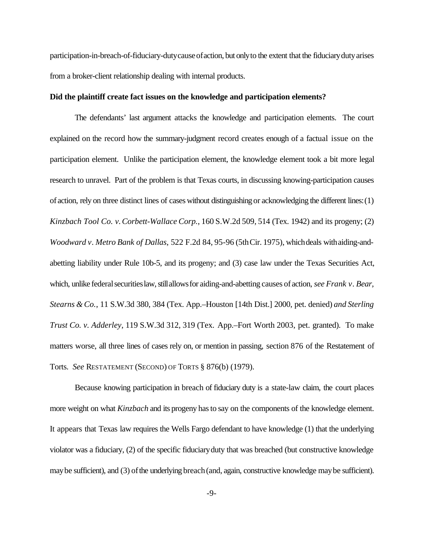participation-in-breach-of-fiduciary-duty cause of action, but only to the extent that the fiduciary duty arises from a broker-client relationship dealing with internal products.

#### **Did the plaintiff create fact issues on the knowledge and participation elements?**

The defendants' last argument attacks the knowledge and participation elements. The court explained on the record how the summary-judgment record creates enough of a factual issue on the participation element. Unlike the participation element, the knowledge element took a bit more legal research to unravel. Part of the problem is that Texas courts, in discussing knowing-participation causes of action, rely on three distinct lines of cases without distinguishing or acknowledging the different lines:(1) *Kinzbach Tool Co. v.Corbett-Wallace Corp.*, 160 S.W.2d 509, 514 (Tex. 1942) and its progeny; (2) *Woodward v. Metro Bank of Dallas*, 522 F.2d 84, 95-96 (5thCir. 1975), whichdeals withaiding-andabetting liability under Rule 10b-5, and its progeny; and (3) case law under the Texas Securities Act, which, unlike federal securities law, still allows for aiding-and-abetting causes of action, *see Frank v. Bear*, *Stearns & Co.*, 11 S.W.3d 380, 384 (Tex. App.–Houston [14th Dist.] 2000, pet. denied) *and Sterling Trust Co. v. Adderley*, 119 S.W.3d 312, 319 (Tex. App.–Fort Worth 2003, pet. granted). To make matters worse, all three lines of cases rely on, or mention in passing, section 876 of the Restatement of Torts. *See* RESTATEMENT (SECOND) OF TORTS § 876(b) (1979).

Because knowing participation in breach of fiduciary duty is a state-law claim, the court places more weight on what *Kinzbach* and its progeny hasto say on the components of the knowledge element. It appears that Texas law requires the Wells Fargo defendant to have knowledge (1) that the underlying violator was a fiduciary, (2) of the specific fiduciaryduty that was breached (but constructive knowledge may be sufficient), and (3) of the underlying breach (and, again, constructive knowledge may be sufficient).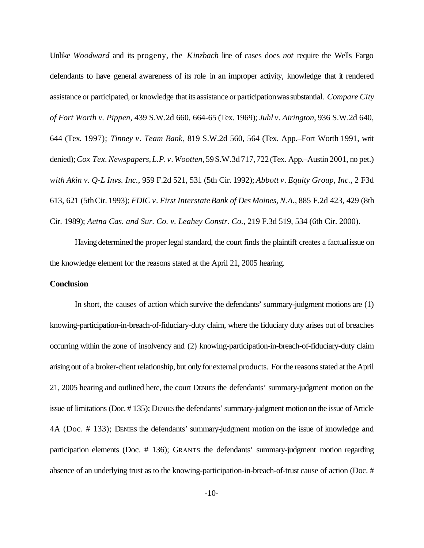Unlike *Woodward* and its progeny, the *Kinzbach* line of cases does *not* require the Wells Fargo defendants to have general awareness of its role in an improper activity, knowledge that it rendered assistance or participated, or knowledge that its assistance orparticipationwassubstantial. *Compare City of Fort Worth v. Pippen*, 439 S.W.2d 660, 664-65 (Tex. 1969); *Juhl v. Airington*, 936 S.W.2d 640, 644 (Tex. 1997); *Tinney v. Team Bank*, 819 S.W.2d 560, 564 (Tex. App.–Fort Worth 1991, writ denied);*Cox Tex.Newspapers,L.P. v.Wootten*,59S.W.3d717,722(Tex. App.–Austin 2001, no pet.) *with Akin v. Q-L Invs. Inc.*, 959 F.2d 521, 531 (5th Cir. 1992); *Abbott v. Equity Group, Inc.*, 2 F3d 613, 621 (5thCir. 1993); *FDIC v. First InterstateBank of Des Moines, N.A.*, 885 F.2d 423, 429 (8th Cir. 1989); *Aetna Cas. and Sur. Co. v. Leahey Constr. Co.*, 219 F.3d 519, 534 (6th Cir. 2000).

Having determined the proper legal standard, the court finds the plaintiff creates a factual issue on the knowledge element for the reasons stated at the April 21, 2005 hearing.

#### **Conclusion**

In short, the causes of action which survive the defendants' summary-judgment motions are (1) knowing-participation-in-breach-of-fiduciary-duty claim, where the fiduciary duty arises out of breaches occurring within the zone of insolvency and (2) knowing-participation-in-breach-of-fiduciary-duty claim arising out of a broker-client relationship, but only for externalproducts. For the reasons stated at the April 21, 2005 hearing and outlined here, the court DENIES the defendants' summary-judgment motion on the issue of limitations (Doc. #135); DENIES the defendants' summary-judgment motion on the issue of Article 4A (Doc. # 133); DENIES the defendants' summary-judgment motion on the issue of knowledge and participation elements (Doc. # 136); GRANTS the defendants' summary-judgment motion regarding absence of an underlying trust as to the knowing-participation-in-breach-of-trust cause of action (Doc. #